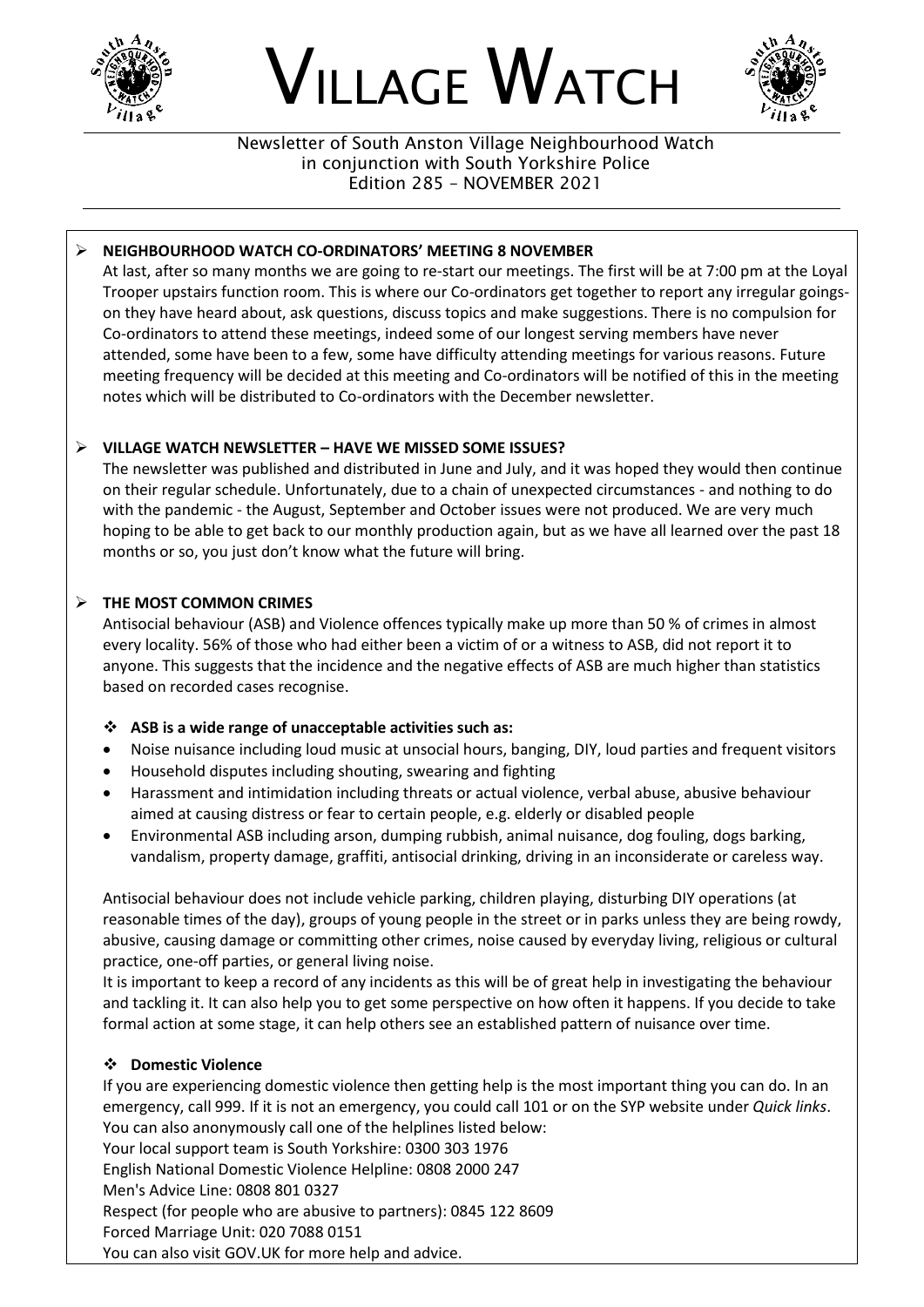





Newsletter of South Anston Village Neighbourhood Watch in conjunction with South Yorkshire Police Edition 285 – NOVEMBER 2021

### ➢ **NEIGHBOURHOOD WATCH CO-ORDINATORS' MEETING 8 NOVEMBER**

At last, after so many months we are going to re-start our meetings. The first will be at 7:00 pm at the Loyal Trooper upstairs function room. This is where our Co-ordinators get together to report any irregular goingson they have heard about, ask questions, discuss topics and make suggestions. There is no compulsion for Co-ordinators to attend these meetings, indeed some of our longest serving members have never attended, some have been to a few, some have difficulty attending meetings for various reasons. Future meeting frequency will be decided at this meeting and Co-ordinators will be notified of this in the meeting notes which will be distributed to Co-ordinators with the December newsletter.

## ➢ **VILLAGE WATCH NEWSLETTER – HAVE WE MISSED SOME ISSUES?**

The newsletter was published and distributed in June and July, and it was hoped they would then continue on their regular schedule. Unfortunately, due to a chain of unexpected circumstances - and nothing to do with the pandemic - the August, September and October issues were not produced. We are very much hoping to be able to get back to our monthly production again, but as we have all learned over the past 18 months or so, you just don't know what the future will bring.

## ➢ **THE MOST COMMON CRIMES**

Antisocial behaviour (ASB) and Violence offences typically make up more than 50 % of crimes in almost every locality. 56% of those who had either been a victim of or a witness to ASB, did not report it to anyone. This suggests that the incidence and the negative effects of ASB are much higher than statistics based on recorded cases recognise.

#### ❖ **ASB is a wide range of unacceptable activities such as:**

- Noise nuisance including loud music at unsocial hours, banging, DIY, loud parties and frequent visitors
- Household disputes including shouting, swearing and fighting
- Harassment and intimidation including threats or actual violence, verbal abuse, abusive behaviour aimed at causing distress or fear to certain people, e.g. elderly or disabled people
- Environmental ASB including arson, dumping rubbish, animal nuisance, dog fouling, dogs barking, vandalism, property damage, graffiti, antisocial drinking, driving in an inconsiderate or careless way.

Antisocial behaviour does not include vehicle parking, children playing, disturbing DIY operations (at reasonable times of the day), groups of young people in the street or in parks unless they are being rowdy, abusive, causing damage or committing other crimes, noise caused by everyday living, religious or cultural practice, one-off parties, or general living noise.

It is important to keep a record of any incidents as this will be of great help in investigating the behaviour and tackling it. It can also help you to get some perspective on how often it happens. If you decide to take formal action at some stage, it can help others see an established pattern of nuisance over time.

#### ❖ **Domestic Violence**

If you are experiencing domestic violence then getting help is the most important thing you can do. In an emergency, call 999. If it is not an emergency, you could call 101 or on the SYP website under *Quick links*. You can also anonymously call one of the helplines listed below: Your local support team is South Yorkshire: 0300 303 1976 English National Domestic Violence Helpline: 0808 2000 247 Men's Advice Line: 0808 801 0327 Respect (for people who are abusive to partners): 0845 122 8609 Forced Marriage Unit: 020 7088 0151

You can also visit GOV.UK for more help and advice.